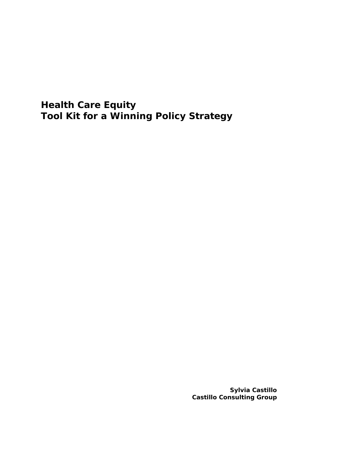**Health Care Equity Tool Kit for a Winning Policy Strategy** 

> **Sylvia Castillo Castillo Consulting Group**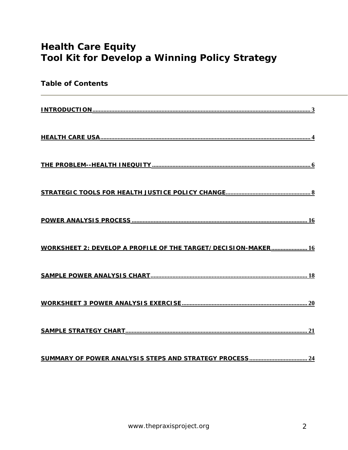# **Health Care Equity Tool Kit for Develop a Winning Policy Strategy**

| <b>Table of Contents</b>                                              |
|-----------------------------------------------------------------------|
|                                                                       |
|                                                                       |
|                                                                       |
|                                                                       |
|                                                                       |
| <b>WORKSHEET 2: DEVELOP A PROFILE OF THE TARGET/DECISION-MAKER 16</b> |
|                                                                       |
|                                                                       |
|                                                                       |
|                                                                       |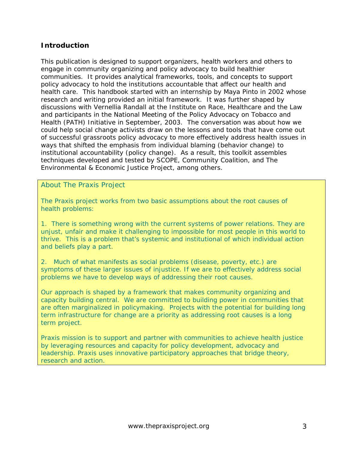### <span id="page-2-0"></span>**Introduction**

This publication is designed to support organizers, health workers and others to engage in community organizing and policy advocacy to build healthier communities. It provides analytical frameworks, tools, and concepts to support policy advocacy to hold the institutions accountable that affect our health and health care. This handbook started with an internship by Maya Pinto in 2002 whose research and writing provided an initial framework. It was further shaped by discussions with Vernellia Randall at the Institute on Race, Healthcare and the Law and participants in the National Meeting of the Policy Advocacy on Tobacco and Health (PATH) Initiative in September, 2003. The conversation was about how we could help social change activists draw on the lessons and tools that have come out of successful grassroots policy advocacy to more effectively address health issues in ways that shifted the emphasis from individual blaming (behavior change) to institutional accountability (policy change). As a result, this toolkit assembles techniques developed and tested by SCOPE, Community Coalition, and The Environmental & Economic Justice Project, among others.

### *About The Praxis Project*

*The Praxis project works from two basic assumptions about the root causes of health problems:* 

*1. There is something wrong with the current systems of power relations. They are unjust, unfair and make it challenging to impossible for most people in this world to thrive. This is a problem that's systemic and institutional of which individual action and beliefs play a part.* 

*2. Much of what manifests as social problems (disease, poverty, etc.) are symptoms of these larger issues of injustice. If we are to effectively address social problems we have to develop ways of addressing their root causes.* 

*Our approach is shaped by a framework that makes community organizing and capacity building central. We are committed to building power in communities that are often marginalized in policymaking. Projects with the potential for building long term infrastructure for change are a priority as addressing root causes is a long term project.* 

*Praxis mission is to support and partner with communities to achieve health justice by leveraging resources and capacity for policy development, advocacy and leadership. Praxis uses innovative participatory approaches that bridge theory, research and action.*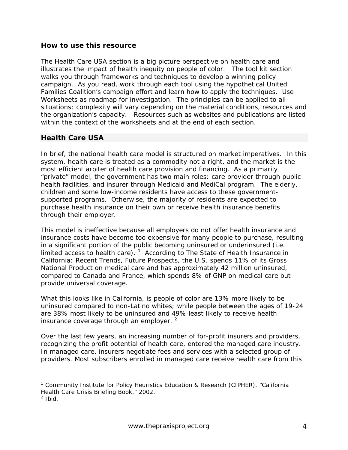### <span id="page-3-0"></span>**How to use this resource**

The Health Care USA section is a big picture perspective on health care and illustrates the impact of health inequity on people of color. The tool kit section walks you through frameworks and techniques to develop a winning policy campaign. As you read, work through each tool using the hypothetical United Families Coalition's campaign effort and learn how to apply the techniques. Use Worksheets as roadmap for investigation. The principles can be applied to all situations; complexity will vary depending on the material conditions, resources and the organization's capacity. Resources such as websites and publications are listed within the context of the worksheets and at the end of each section.

### **Health Care USA**

In brief, the national health care model is structured on market imperatives. In this system, health care is treated as a commodity not a right, and the market is the most efficient arbiter of health care provision and financing. As a primarily "private" model, the government has two main roles: care provider through public health facilities, and insurer through Medicaid and MediCal program. The elderly, children and some low-income residents have access to these governmentsupported programs. Otherwise, the majority of residents are expected to purchase health insurance on their own or receive health insurance benefits through their employer.

This model is ineffective because all employers do not offer health insurance and insurance costs have become too expensive for many people to purchase, resulting in a significant portion of the public becoming uninsured or underinsured (i.e. limited access to health care). <sup>[1](#page-3-1)</sup> According to *The State of Health Insurance in California: Recent Trends, Future Prospects,* the U.S. spends 11% of its Gross National Product on medical care and has approximately 42 million uninsured, compared to Canada and France, which spends 8% of GNP on medical care but provide universal coverage.

What this looks like in California, is people of color are 13% more likely to be uninsured compared to non-Latino whites; while people between the ages of 19-24 are 38% most likely to be uninsured and 49% least likely to receive health insurance coverage through an employer.  $2$ 

Over the last few years, an increasing number of for-profit insurers and providers, recognizing the profit potential of health care, entered the managed care industry. In managed care, insurers negotiate fees and services with a selected group of providers. Most subscribers enrolled in managed care receive health care from this

<span id="page-3-1"></span> <sup>1</sup> Community Institute for Policy Heuristics Education & Research (CIPHER), "*California Health Care Crisis Briefing Book,"* 2002.

<span id="page-3-2"></span> $2$  Ibid.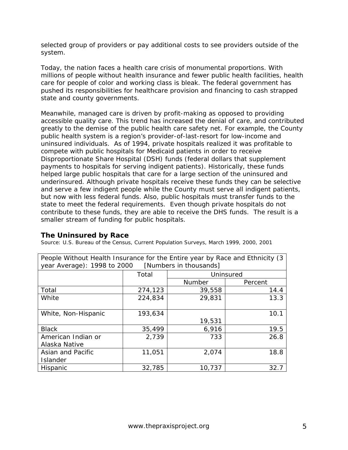selected group of providers or pay additional costs to see providers outside of the system.

Today, the nation faces a health care crisis of monumental proportions. With millions of people without health insurance and fewer public health facilities, health care for people of color and working class is bleak. The federal government has pushed its responsibilities for healthcare provision and financing to cash strapped state and county governments.

Meanwhile, managed care is driven by profit-making as opposed to providing accessible quality care. This trend has increased the denial of care, and contributed greatly to the demise of the public health care safety net. For example, the County public health system is a region's provider-of-last-resort for low-income and uninsured individuals. As of 1994, private hospitals realized it was profitable to compete with public hospitals for Medicaid patients in order to receive Disproportionate Share Hospital (DSH) funds (federal dollars that supplement payments to hospitals for serving indigent patients). Historically, these funds helped large public hospitals that care for a large section of the uninsured and underinsured. Although private hospitals receive these funds they can be selective and serve a few indigent people while the County must serve all indigent patients, but now with less federal funds. Also, public hospitals must transfer funds to the state to meet the federal requirements. Even though private hospitals do not contribute to these funds, they are able to receive the DHS funds. The result is a smaller stream of funding for public hospitals.

#### **The Uninsured by Race**

Source: U.S. Bureau of the Census, Current Population Surveys, March 1999, 2000, 2001

| People Without Health Insurance for the Entire year by Race and Ethnicity (3)<br>year Average): 1998 to 2000 [Numbers in thousands] |         |           |         |  |
|-------------------------------------------------------------------------------------------------------------------------------------|---------|-----------|---------|--|
|                                                                                                                                     | Total   | Uninsured |         |  |
|                                                                                                                                     |         | Number    | Percent |  |
| Total                                                                                                                               | 274,123 | 39,558    | 14.4    |  |
| White                                                                                                                               | 224,834 | 29,831    | 13.3    |  |
|                                                                                                                                     |         |           |         |  |
| White, Non-Hispanic                                                                                                                 | 193,634 |           | 10.1    |  |
|                                                                                                                                     |         | 19,531    |         |  |
| <b>Black</b>                                                                                                                        | 35,499  | 6,916     | 19.5    |  |
| American Indian or                                                                                                                  | 2,739   | 733       | 26.8    |  |
| Alaska Native                                                                                                                       |         |           |         |  |
| Asian and Pacific                                                                                                                   | 11,051  | 2,074     | 18.8    |  |
| Islander                                                                                                                            |         |           |         |  |
| Hispanic                                                                                                                            | 32,785  | 10,737    | 32.7    |  |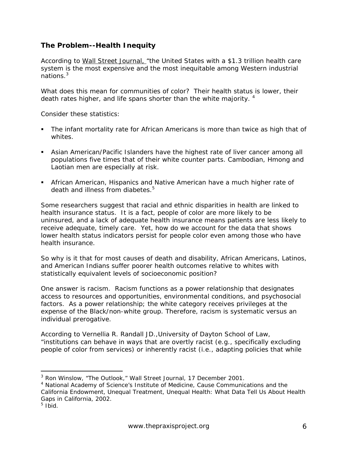# <span id="page-5-0"></span>**The Problem--Health Inequity**

According to Wall Street Journal, "the United States with a \$1.3 trillion health care system is the most expensive and the most inequitable among Western industrial nations.<sup>[3](#page-5-1)</sup>

What does this mean for communities of color? Their health status is lower, their death rates higher, and life spans shorter than the white majority.  $4$ 

Consider these statistics:

- *The infant mortality rate for African Americans is more than twice as high that of whites.*
- *Asian American/Pacific Islanders have the highest rate of liver cancer among all populations five times that of their white counter parts. Cambodian, Hmong and Laotian men are especially at risk.*
- *African American, Hispanics and Native American have a much higher rate of death and illness from diabetes. [5](#page-5-3)*

Some researchers suggest that racial and ethnic disparities in health are linked to health insurance status. It is a fact, people of color are more likely to be uninsured, and a lack of adequate health insurance means patients are less likely to receive adequate, timely care. *Yet, how do we account for the data that shows lower health status indicators persist for people color even among those who have health insurance.* 

So why is it that for most causes of death and disability, African Americans, Latinos, and American Indians suffer poorer health outcomes relative to whites with statistically equivalent levels of socioeconomic position?

One answer is racism. Racism functions as a power relationship that designates access to resources and opportunities, environmental conditions, and psychosocial factors. As a power relationship; the white category receives privileges at the expense of the Black/non-white group. Therefore, racism is systematic versus an individual prerogative.

According to Vernellia R. Randall JD.,University of Dayton School of Law, "institutions can behave in ways that are overtly racist (e.g., specifically excluding people of color from services) or inherently racist (i.e., adapting policies that while

<span id="page-5-1"></span> <sup>3</sup> Ron Winslow, "The Outlook," Wall Street Journal, 17 December 2001.

<span id="page-5-2"></span><sup>&</sup>lt;sup>4</sup> National Academy of Science's Institute of Medicine, Cause Communications and the California Endowment, *Unequal Treatment, Unequal Health: What Data Tell Us About Health Gaps in California*, 2002.

<span id="page-5-3"></span> $5$  Ibid.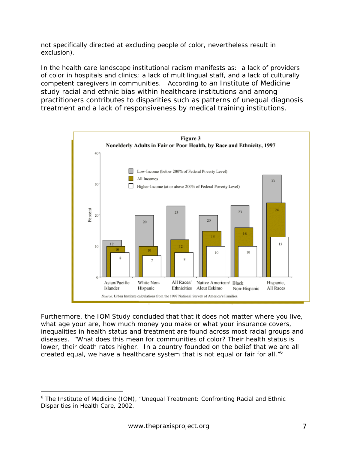not specifically directed at excluding people of color, nevertheless result in exclusion).

In the health care landscape institutional racism manifests as: a lack of providers of color in hospitals and clinics; a lack of multilingual staff, and a lack of culturally competent caregivers in communities. According to an Institute of Medicine study racial and ethnic bias within healthcare institutions and among practitioners contributes to disparities such as patterns of unequal diagnosis treatment and a lack of responsiveness by medical training institutions.



Furthermore, the IOM Study concluded that that it does not matter where you live, what age your are, how much money you make or what your insurance covers, inequalities in health status and treatment are found across most racial groups and diseases. "What does this mean for communities of color? Their health status is lower, their death rates higher. In a country founded on the belief that we are all created equal, we have a healthcare system that is not equal or fair for all."<sup>[6](#page-6-0)</sup>

<span id="page-6-0"></span> <sup>6</sup> The Institute of Medicine (IOM), "Unequal Treatment: Confronting Racial and Ethnic Disparities in Health Care, 2002.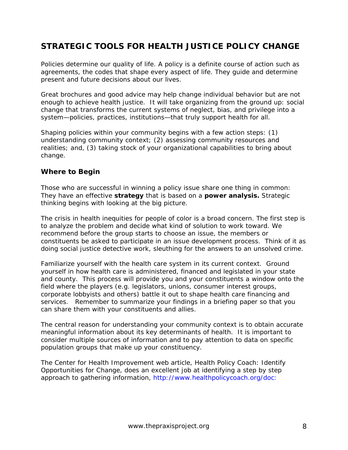# <span id="page-7-0"></span>**STRATEGIC TOOLS FOR HEALTH JUSTICE POLICY CHANGE**

Policies determine our quality of life. A policy is a definite course of action such as agreements, the codes that shape every aspect of life. They guide and determine present and future decisions about our lives.

Great brochures and good advice may help change individual behavior but are not enough to achieve health justice. It will take organizing from the ground up: social change that transforms the current systems of neglect, bias, and privilege into a system—policies, practices, institutions—that truly support health for all.

Shaping policies within your community begins with a few action steps: (1) understanding community context; (2) assessing community resources and realities; and, (3) taking stock of your organizational capabilities to bring about change.

### **Where to Begin**

Those who are successful in winning a policy issue share one thing in common: They have an effective **strategy** that is based on a **power analysis.** Strategic thinking begins with looking at the big picture.

The crisis in health inequities for people of color is a broad concern. The first step is to analyze the problem and decide what kind of solution to work toward. We recommend before the group starts to choose an issue, the members or constituents be asked to participate in an issue development process. Think of it as doing social justice detective work, sleuthing for the answers to an unsolved crime.

Familiarize yourself with the health care system in its current context. Ground yourself in how health care is administered, financed and legislated in your state and county. This process will provide you and your constituents a window onto the field where the players (e.g. legislators, unions, consumer interest groups, corporate lobbyists and others) battle it out to shape health care financing and services. Remember to summarize your findings in a briefing paper so that you can share them with your constituents and allies.

The central reason for understanding your community context is to obtain accurate meaningful information about its key determinants of health. It is important to consider multiple sources of information and to pay attention to data on specific population groups that make up your constituency.

The Center for Health Improvement web article*, Health Policy Coach: Identify Opportunities for Change,* does an excellent job at identifying a step by step approach to gathering information, http://www.healthpolicycoach.org/doc: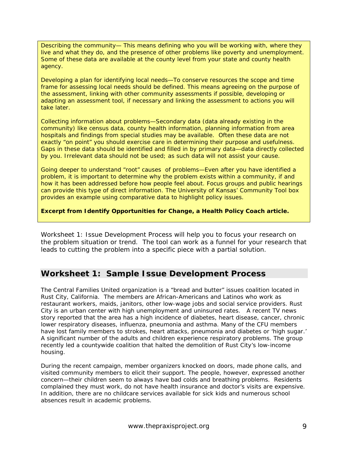*Describing the community*— This means defining who you will be working with, where they live and what they do, and the presence of other problems like poverty and unemployment. Some of these data are available at the county level from your state and county health agency.

*Developing a plan for identifying local needs*—To conserve resources the scope and time frame for assessing local needs should be defined. This means agreeing on the purpose of the assessment, linking with other community assessments if possible, developing or adapting an assessment tool, if necessary and linking the assessment to actions you will take later.

*Collecting information about problems*—Secondary data (data already existing in the community) like census data, county health information, planning information from area hospitals and findings from special studies may be available. Often these data are not exactly "on point" you should exercise care in determining their purpose and usefulness. Gaps in these data should be identified and filled in by primary data—data directly collected by you. Irrelevant data should not be used; as such data will not assist your cause.

*Going deeper to understand "root" causes of problems*—Even after you have identified a problem, it is important to determine why the problem exists within a community, if and how it has been addressed before how people feel about. Focus groups and public hearings can provide this type of direct information. The University of Kansas' Community Tool box provides an example using comparative data to highlight policy issues.

**Excerpt from** *Identify Opportunities for Change***, a Health Policy Coach article.** 

Worksheet 1: Issue Development Process will help you to focus your research on the problem situation or trend. The tool can work as a funnel for your research that leads to cutting the problem into a specific piece with a partial solution.

# **Worksheet 1: Sample Issue Development Process**

The Central Families United organization is a "bread and butter" issues coalition located in Rust City, California. The members are African-Americans and Latinos who work as restaurant workers, maids, janitors, other low-wage jobs and social service providers. Rust City is an urban center with high unemployment and uninsured rates. A recent TV news story reported that the area has a high incidence of diabetes, heart disease, cancer, chronic lower respiratory diseases, influenza, pneumonia and asthma. Many of the CFU members have lost family members to strokes, heart attacks, pneumonia and diabetes or 'high sugar.' A significant number of the adults and children experience respiratory problems. The group recently led a countywide coalition that halted the demolition of Rust City's low-income housing.

During the recent campaign, member organizers knocked on doors, made phone calls, and visited community members to elicit their support. The people, however, expressed another concern—their children seem to always have bad colds and breathing problems. Residents complained they must work, do not have health insurance and doctor's visits are expensive. In addition, there are no childcare services available for sick kids and numerous school absences result in academic problems.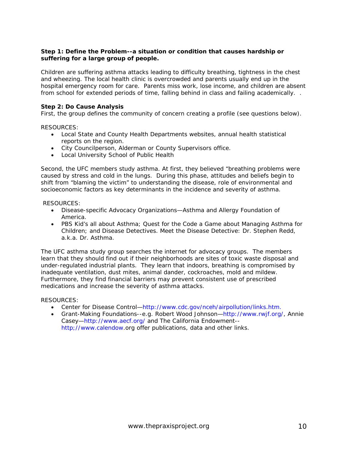#### **Step 1: Define the Problem--a situation or condition that causes hardship or suffering for a large group of people.**

Children are suffering asthma attacks leading to difficulty breathing, tightness in the chest and wheezing. The local health clinic is overcrowded and parents usually end up in the hospital emergency room for care. Parents miss work, lose income, and children are absent from school for extended periods of time, falling behind in class and failing academically. .

#### **Step 2: Do Cause Analysis**

First, the group defines the community of concern creating a profile (see questions below).

RESOURCES:

- Local State and County Health Departments websites, annual health statistical reports on the region.
- City Councilperson, Alderman or County Supervisors office.
- Local University School of Public Health

Second, the UFC members study asthma. At first, they believed "breathing problems were caused by stress and cold in the lungs. During this phase, attitudes and beliefs begin to shift from "blaming the victim" to understanding the disease, role of environmental and socioeconomic factors as key determinants in the incidence and severity of asthma.

#### RESOURCES:

- Disease-specific Advocacy Organizations—Asthma and Allergy Foundation of America.
- PBS Kid's all about Asthma; Quest for the Code a Game about Managing Asthma for Children; and Disease Detectives. Meet the Disease Detective: Dr. Stephen Redd, a.k.a. Dr. Asthma.

The UFC asthma study group searches the internet for advocacy groups. The members learn that they should find out if their neighborhoods are sites of toxic waste disposal and under-regulated industrial plants. They learn that indoors, breathing is compromised by inadequate ventilation, dust mites, animal dander, cockroaches, mold and mildew. Furthermore, they find financial barriers may prevent consistent use of prescribed medications and increase the severity of asthma attacks.

RESOURCES:

- Center for Disease Control—http://www.cdc.gov/nceh/airpollution/links.htm.
- Grant-Making Foundations--e.g. Robert Wood Johnson—http://www.rwjf.org/, Annie Casey—http://www.aecf.org/ and The California Endowment- http;//www.calendow.org offer publications, data and other links.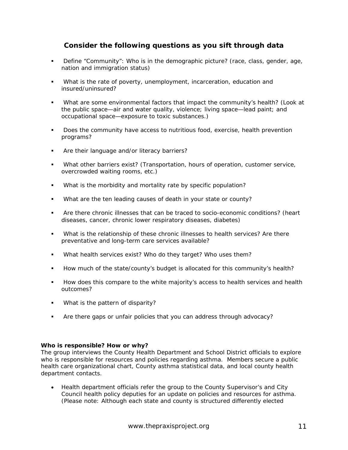# **Consider the following questions as you sift through data**

- Define "Community": Who is in the demographic picture? (race, class, gender, age, nation and immigration status)
- What is the rate of poverty, unemployment, incarceration, education and insured/uninsured?
- What are some environmental factors that impact the community's health? (Look at the public space—air and water quality, violence; living space—lead paint; and occupational space—exposure to toxic substances.)
- Does the community have access to nutritious food, exercise, health prevention programs?
- **Are their language and/or literacy barriers?**
- What other barriers exist? (Transportation, hours of operation, customer service, overcrowded waiting rooms, etc.)
- What is the morbidity and mortality rate by specific population?
- What are the ten leading causes of death in your state or county?
- Are there chronic illnesses that can be traced to socio-economic conditions? (heart diseases, cancer, chronic lower respiratory diseases, diabetes)
- What is the relationship of these chronic illnesses to health services? Are there preventative and long-term care services available?
- What health services exist? Who do they target? Who uses them?
- How much of the state/county's budget is allocated for this community's health?
- How does this compare to the white majority's access to health services and health outcomes?
- **What is the pattern of disparity?**
- Are there gaps or unfair policies that you can address through advocacy?

#### **Who is responsible? How or why?**

The group interviews the County Health Department and School District officials to explore who is responsible for resources and policies regarding asthma. Members secure a public health care organizational chart, County asthma statistical data, and local county health department contacts.

• Health department officials refer the group to the County Supervisor's and City Council health policy deputies for an update on policies and resources for asthma. (Please note: Although each state and county is structured differently elected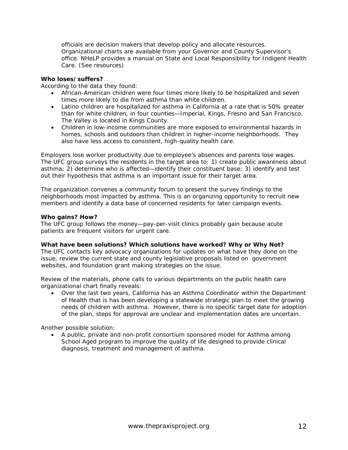officials are decision makers that develop policy and allocate resources. Organizational charts are available from your Governor and County Supervisor's office. NHeLP provides a manual on State and Local Responsibility for Indigent Health Care. (See resources)

#### **Who loses/suffers?**

According to the data they found:

- African-American children were four times more likely to be hospitalized and seven times more likely to die from asthma than white children.
- Latino children are hospitalized for asthma in California at a rate that is 50% greater than for white children, in four counties—Imperial, Kings, Fresno and San Francisco. The Valley is located in Kings County.
- Children in low-income communities are more exposed to environmental hazards in homes, schools and outdoors than children in higher-income neighborhoods. They also have less access to consistent, high-quality health care.

Employers lose worker productivity due to employee's absences and parents lose wages. The UFC group surveys the residents in the target area to: 1) create public awareness about asthma; 2) determine who is affected—identify their constituent base; 3) identify and test out their hypothesis that asthma is an important issue for their target area.

The organization convenes a community forum to present the survey findings to the neighborhoods most impacted by asthma. This is an organizing opportunity to recruit new members and identify a data base of concerned residents for later campaign events.

#### **Who gains? How?**

The UFC group follows the money—pay-per-visit clinics probably gain because acute patients are frequent visitors for urgent care.

#### **What have been solutions? Which solutions have worked? Why or Why Not?**

The UFC contacts key advocacy organizations for updates on what have they done on the issue, review the current state and county legislative proposals listed on government websites, and foundation grant making strategies on the issue.

Review of the materials, phone calls to various departments on the public health care organizational chart finally reveals:

• Over the last two years, California has an Asthma Coordinator within the Department of Health that is has been developing a statewide strategic plan to meet the growing needs of children with asthma. However, there is no specific target date for adoption of the plan, steps for approval are unclear and implementation dates are uncertain.

Another possible solution:

• A public, private and non-profit consortium sponsored model for Asthma among School Aged program to improve the quality of life designed to provide clinical diagnosis, treatment and management of asthma.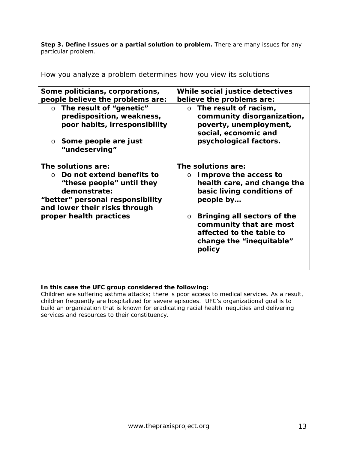**Step 3. Define Issues or a partial solution to problem.** There are many issues for any particular problem*.* 

How you analyze a problem determines how you view its solutions

| Some politicians, corporations,                                                                                                                       | While social justice detectives                                                                                                         |
|-------------------------------------------------------------------------------------------------------------------------------------------------------|-----------------------------------------------------------------------------------------------------------------------------------------|
| people believe the problems are:                                                                                                                      | believe the problems are:                                                                                                               |
| $\circ$ The result of "genetic"<br>predisposition, weakness,<br>poor habits, irresponsibility<br>Some people are just<br>$\circ$                      | $\circ$ The result of racism,<br>community disorganization,<br>poverty, unemployment,<br>social, economic and<br>psychological factors. |
| "undeserving"                                                                                                                                         |                                                                                                                                         |
| The solutions are:                                                                                                                                    | The solutions are:                                                                                                                      |
| Do not extend benefits to<br>$\cap$<br>"these people" until they<br>demonstrate:<br>"better" personal responsibility<br>and lower their risks through | Improve the access to<br>$\circ$<br>health care, and change the<br>basic living conditions of<br>people by                              |
| proper health practices                                                                                                                               | Bringing all sectors of the<br>$\circ$<br>community that are most<br>affected to the table to<br>change the "inequitable"<br>policy     |

### **In this case the UFC group considered the following:**

Children are suffering asthma attacks; there is poor access to medical services. As a result, children frequently are hospitalized for severe episodes. UFC's organizational goal is to build an organization that is known for eradicating racial health inequities and delivering services and resources to their constituency.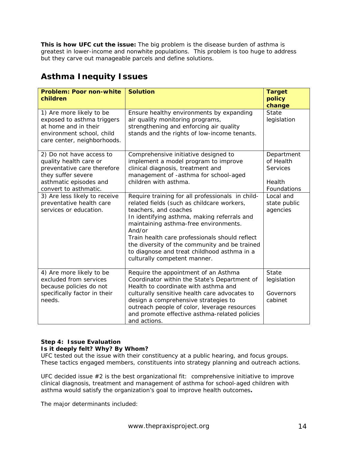**This is how UFC cut the issue:** The big problem is the disease burden of asthma is greatest in lower-income and nonwhite populations. This problem is too huge to address but they carve out manageable parcels and define solutions.

# **Asthma Inequity Issues**

| <b>Problem: Poor non-white</b><br>children                                                                                                                 | <b>Solution</b>                                                                                                                                                                                                                                                                                                                                                                                             | <b>Target</b><br>policy<br>change                                   |
|------------------------------------------------------------------------------------------------------------------------------------------------------------|-------------------------------------------------------------------------------------------------------------------------------------------------------------------------------------------------------------------------------------------------------------------------------------------------------------------------------------------------------------------------------------------------------------|---------------------------------------------------------------------|
| 1) Are more likely to be<br>exposed to asthma triggers<br>at home and in their<br>environment school, child<br>care center, neighborhoods.                 | Ensure healthy environments by expanding<br>air quality monitoring programs,<br>strengthening and enforcing air quality<br>stands and the rights of low-income tenants.                                                                                                                                                                                                                                     | <b>State</b><br>legislation                                         |
| 2) Do not have access to<br>quality health care or<br>preventative care therefore<br>they suffer severe<br>asthmatic episodes and<br>convert to asthmatic. | Comprehensive initiative designed to<br>implement a model program to improve<br>clinical diagnosis, treatment and<br>management of -asthma for school-aged<br>children with asthma.                                                                                                                                                                                                                         | Department<br>of Health<br><b>Services</b><br>Health<br>Foundations |
| 3) Are less likely to receive<br>preventative health care<br>services or education.                                                                        | Require training for all professionals in child-<br>related fields (such as childcare workers,<br>teachers, and coaches<br>In identifying asthma, making referrals and<br>maintaining asthma-free environments.<br>And/or<br>Train health care professionals should reflect<br>the diversity of the community and be trained<br>to diagnose and treat childhood asthma in a<br>culturally competent manner. | Local and<br>state public<br>agencies                               |
| 4) Are more likely to be<br>excluded from services<br>because policies do not<br>specifically factor in their<br>needs.                                    | Require the appointment of an Asthma<br>Coordinator within the State's Department of<br>Health to coordinate with asthma and<br>culturally sensitive health care advocates to<br>design a comprehensive strategies to<br>outreach people of color, leverage resources<br>and promote effective asthma-related policies<br>and actions.                                                                      | <b>State</b><br>legislation<br>Governors<br>cabinet                 |

#### **Step 4: Issue Evaluation Is it deeply felt? Why? By Whom?**

UFC tested out the issue with their constituency at a public hearing, and focus groups. These tactics engaged members, constituents into strategy planning and outreach actions.

UFC decided issue  $#2$  is the best organizational fit: comprehensive initiative to improve clinical diagnosis, treatment and management of asthma for school-aged children with asthma would satisfy the organization's goal to improve health outcomes**.** 

The major determinants included: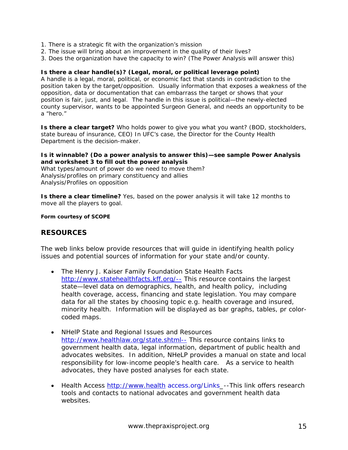- 1. There is a strategic fit with the organization's mission
- 2. The issue will bring about an improvement in the quality of their lives?
- 3. Does the organization have the capacity to win? (The Power Analysis will answer this)

#### **Is there a clear handle(s)? (Legal, moral, or political leverage point)**

A handle is a legal, moral, political, or economic fact that stands in contradiction to the position taken by the target/opposition. Usually information that exposes a weakness of the opposition, data or documentation that can embarrass the target or shows that your position is fair, just, and legal. The handle in this issue is political—the newly-elected county supervisor, wants to be appointed Surgeon General, and needs an opportunity to be a "hero."

**Is there a clear target?** Who holds power to give you what you want? (BOD, stockholders, state bureau of insurance, CEO) In UFC's case, the Director for the County Health Department is the decision-maker.

#### **Is it winnable? (Do a power analysis to answer this)—see sample Power Analysis and worksheet 3 to fill out the power analysis**

What types/amount of power do we need to move them? Analysis/profiles on primary constituency and allies Analysis/Profiles on opposition

**Is there a clear timeline?** Yes, based on the power analysis it will take 12 months to move all the players to goal.

#### **Form courtesy of SCOPE**

#### **RESOURCES**

The web links below provide resources that will guide in identifying health policy issues and potential sources of information for your state and/or county.

- The Henry J. Kaiser Family Foundation State Health Facts [http://www.statehealthfacts.kff.org/--](http://www.statehealthfacts.kff.org/--This) This resource contains the largest state—level data on demographics, health, and health policy, including health coverage, access, financing and state legislation. You may compare data for all the states by choosing topic e.g. health coverage and insured, minority health. Information will be displayed as bar graphs, tables, pr colorcoded maps.
- NHelP State and Regional Issues and Resources [http://www.healthlaw.org/state.shtml--](http://healthlaw.org/state.shtml--This) This resource contains links to government health data, legal information, department of public health and advocates websites. In addition, NHeLP provides a manual on state and local responsibility for low-income people's health care. As a service to health advocates, they have posted analyses for each state.
- Health Access [http://www.health](http://www.health/) access.org/Links\_--This link offers research tools and contacts to national advocates and government health data websites.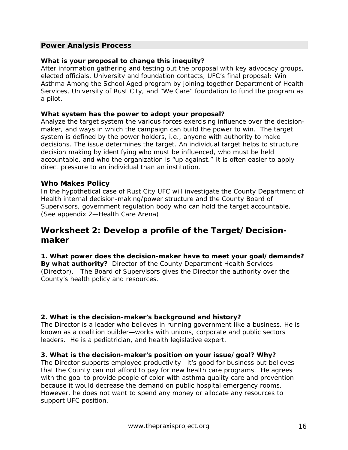### <span id="page-15-0"></span>**Power Analysis Process**

#### **What is your proposal to change this inequity?**

After information gathering and testing out the proposal with key advocacy groups, elected officials, University and foundation contacts, UFC's final proposal: Win Asthma Among the School Aged program by joining together Department of Health Services, University of Rust City, and "We Care" foundation to fund the program as a pilot.

#### **What system has the power to adopt your proposal?**

Analyze the target system the various forces exercising influence over the decisionmaker, and ways in which the campaign can build the power to win. The target system is defined by the power holders, i.e., anyone with authority to make decisions. The issue determines the target. An individual target helps to structure decision making by identifying who must be influenced, who must be held accountable, and who the organization is "up against." It is often easier to apply direct pressure to an individual than an institution.

#### **Who Makes Policy**

In the hypothetical case of Rust City UFC will investigate the County Department of Health internal decision-making/power structure and the County Board of Supervisors, government regulation body who can hold the target accountable. (See appendix 2—Health Care Arena)

# **Worksheet 2: Develop a profile of the Target/Decisionmaker**

**1. What power does the decision-maker have to meet your goal/demands? By what authority?** Director of the County Department Health Services (Director). The Board of Supervisors gives the Director the authority over the County's health policy and resources.

#### **2. What is the decision-maker's background and history?**

The Director is a leader who believes in running government like a business. He is known as a coalition builder—works with unions, corporate and public sectors leaders. He is a pediatrician, and health legislative expert.

#### **3. What is the decision-maker's position on your issue/goal? Why?**

The Director supports employee productivity—it's good for business but believes that the County can not afford to pay for new health care programs. He agrees with the goal to provide people of color with asthma quality care and prevention because it would decrease the demand on public hospital emergency rooms. However, he does not want to spend any money or allocate any resources to support UFC position.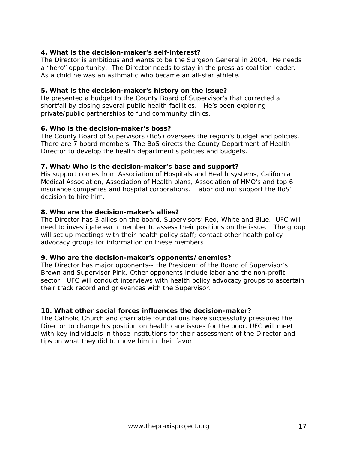### **4. What is the decision-maker's self-interest?**

The Director is ambitious and wants to be the Surgeon General in 2004. He needs a "hero" opportunity. The Director needs to stay in the press as coalition leader. As a child he was an asthmatic who became an all-star athlete.

#### **5. What is the decision-maker's history on the issue?**

He presented a budget to the County Board of Supervisor's that corrected a shortfall by closing several public health facilities. He's been exploring private/public partnerships to fund community clinics.

### **6. Who is the decision-maker's boss?**

The County Board of Supervisors (BoS) oversees the region's budget and policies. There are 7 board members. The BoS directs the County Department of Health Director to develop the health department's policies and budgets.

#### **7. What/Who is the decision-maker's base and support?**

His support comes from Association of Hospitals and Health systems, California Medical Association, Association of Health plans, Association of HMO's and top 6 insurance companies and hospital corporations. Labor did not support the BoS' decision to hire him.

### **8. Who are the decision-maker's allies?**

The Director has 3 allies on the board, Supervisors' Red, White and Blue. UFC will need to investigate each member to assess their positions on the issue. The group will set up meetings with their health policy staff; contact other health policy advocacy groups for information on these members.

#### **9. Who are the decision-maker's opponents/enemies?**

The Director has major opponents-- the President of the Board of Supervisor's Brown and Supervisor Pink. Other opponents include labor and the non-profit sector. UFC will conduct interviews with health policy advocacy groups to ascertain their track record and grievances with the Supervisor.

### **10. What other social forces influences the decision-maker?**

The Catholic Church and charitable foundations have successfully pressured the Director to change his position on health care issues for the poor. UFC will meet with key individuals in those institutions for their assessment of the Director and tips on what they did to move him in their favor.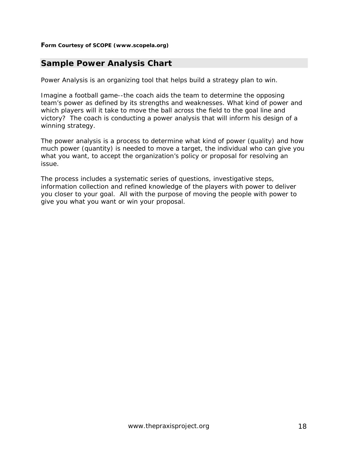#### <span id="page-17-0"></span>**Form Courtesy of SCOPE (www.scopela.org)**

# **Sample Power Analysis Chart**

Power Analysis is an organizing tool that helps build a strategy plan to win.

Imagine a football game--the coach aids the team to determine the opposing team's power as defined by its strengths and weaknesses. What kind of power and which players will it take to move the ball across the field to the goal line and victory? The coach is conducting a power analysis that will inform his design of a winning strategy.

The power analysis is a process to determine what kind of power (quality) and how much power (quantity) is needed to move a target, the individual who can give you what you want, to accept the organization's policy or proposal for resolving an issue.

The process includes a systematic series of questions, investigative steps, information collection and refined knowledge of the players with power to deliver you closer to your goal. All with the purpose of moving the people with power to give you what you want or win your proposal.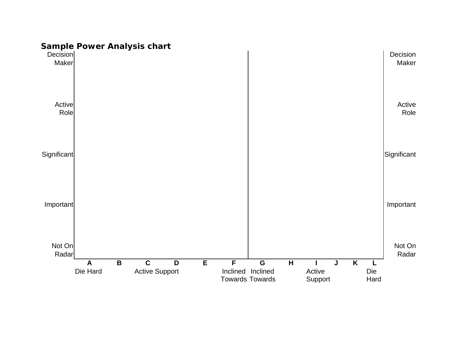# **Sample Power Analysis chart**

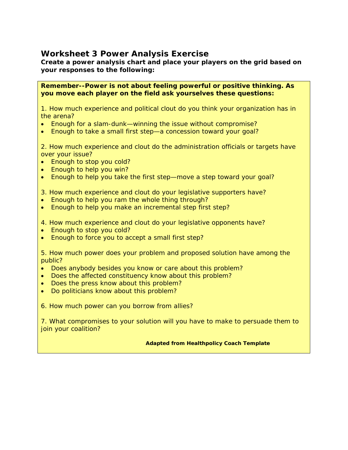# <span id="page-19-0"></span>**Worksheet 3 Power Analysis Exercise**

**Create a power analysis chart and place your players on the grid based on your responses to the following:** 

**Remember--Power is not about feeling powerful or positive thinking. As you move each player on the field ask yourselves these questions:** 

1. How much experience and political clout do you think your organization has in the arena?

- Enough for a slam-dunk—winning the issue without compromise?
- Enough to take a small first step—a concession toward your goal?

2. How much experience and clout do the administration officials or targets have over your issue?

- Enough to stop you cold?
- Enough to help you win?
- Enough to help you take the first step—move a step toward your goal?

3. How much experience and clout do your legislative supporters have?

- Enough to help you ram the whole thing through?
- Enough to help you make an incremental step first step?
- 4. How much experience and clout do your legislative opponents have?
- Enough to stop you cold?
- Enough to force you to accept a small first step?

5. How much power does your problem and proposed solution have among the public?

- Does anybody besides you know or care about this problem?
- Does the affected constituency know about this problem?
- Does the press know about this problem?
- Do politicians know about this problem?

6. How much power can you borrow from allies?

7. What compromises to your solution will you have to make to persuade them to join your coalition?

#### **Adapted from Healthpolicy Coach Template**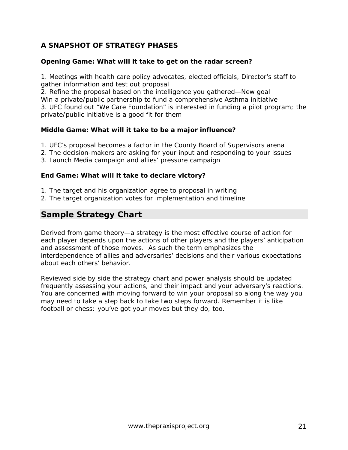# <span id="page-20-0"></span>**A SNAPSHOT OF STRATEGY PHASES**

### **Opening Game: What will it take to get on the radar screen?**

1. Meetings with health care policy advocates, elected officials, Director's staff to gather information and test out proposal

2. Refine the proposal based on the intelligence you gathered—New goal Win a private/public partnership to fund a comprehensive Asthma initiative 3. UFC found out "We Care Foundation" is interested in funding a pilot program; the private/public initiative is a good fit for them

### **Middle Game: What will it take to be a major influence?**

- 1. UFC's proposal becomes a factor in the County Board of Supervisors arena
- 2. The decision-makers are asking for your input and responding to your issues
- 3. Launch Media campaign and allies' pressure campaign

### **End Game: What will it take to declare victory?**

- 1. The target and his organization agree to proposal in writing
- 2. The target organization votes for implementation and timeline

# **Sample Strategy Chart**

Derived from game theory—a strategy is the most effective course of action for each player depends upon the actions of other players and the players' anticipation and assessment of those moves. As such the term emphasizes the interdependence of allies and adversaries' decisions and their various expectations about each others' behavior.

Reviewed side by side the strategy chart and power analysis should be updated frequently assessing your actions, and their impact and your adversary's reactions. You are concerned with moving forward to win your proposal so along the way you may need to take a step back to take two steps forward. Remember it is like football or chess: you've got your moves but they do, too.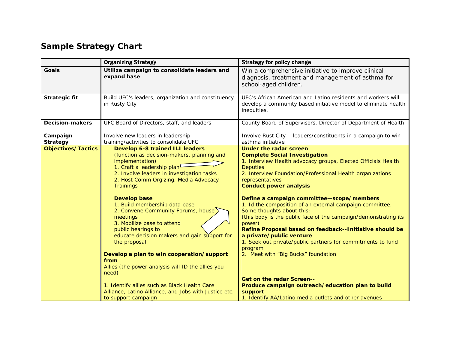# **Sample Strategy Chart**

|                             | <b>Organizing Strategy</b>                                                                                                                                                                                                                                                                                                                                                                                                                                                                                                                                                                                                                                                                                                                    | <b>Strategy for policy change</b>                                                                                                                                                                                                                                                                                                                                                                                                                                                                                                                                                                                                                                                                                                                                                                                                                                  |
|-----------------------------|-----------------------------------------------------------------------------------------------------------------------------------------------------------------------------------------------------------------------------------------------------------------------------------------------------------------------------------------------------------------------------------------------------------------------------------------------------------------------------------------------------------------------------------------------------------------------------------------------------------------------------------------------------------------------------------------------------------------------------------------------|--------------------------------------------------------------------------------------------------------------------------------------------------------------------------------------------------------------------------------------------------------------------------------------------------------------------------------------------------------------------------------------------------------------------------------------------------------------------------------------------------------------------------------------------------------------------------------------------------------------------------------------------------------------------------------------------------------------------------------------------------------------------------------------------------------------------------------------------------------------------|
| <b>Goals</b>                | Utilize campaign to consolidate leaders and<br>expand base                                                                                                                                                                                                                                                                                                                                                                                                                                                                                                                                                                                                                                                                                    | Win a comprehensive initiative to improve clinical<br>diagnosis, treatment and management of asthma for<br>school-aged children.                                                                                                                                                                                                                                                                                                                                                                                                                                                                                                                                                                                                                                                                                                                                   |
| <b>Strategic fit</b>        | Build UFC's leaders, organization and constituency<br>in Rusty City                                                                                                                                                                                                                                                                                                                                                                                                                                                                                                                                                                                                                                                                           | UFC's African American and Latino residents and workers will<br>develop a community based initiative model to eliminate health<br>inequities.                                                                                                                                                                                                                                                                                                                                                                                                                                                                                                                                                                                                                                                                                                                      |
| <b>Decision-makers</b>      | UFC Board of Directors, staff, and leaders                                                                                                                                                                                                                                                                                                                                                                                                                                                                                                                                                                                                                                                                                                    | County Board of Supervisors, Director of Department of Health                                                                                                                                                                                                                                                                                                                                                                                                                                                                                                                                                                                                                                                                                                                                                                                                      |
| Campaign<br><b>Strategy</b> | Involve new leaders in leadership<br>training/activities to consolidate UFC                                                                                                                                                                                                                                                                                                                                                                                                                                                                                                                                                                                                                                                                   | Involve Rust City<br>leaders/constituents in a campaign to win<br>asthma initiative                                                                                                                                                                                                                                                                                                                                                                                                                                                                                                                                                                                                                                                                                                                                                                                |
| <b>Objectives/Tactics</b>   | <b>Develop 6-8 trained ILI leaders</b><br>(function as decision-makers, planning and<br>implementation)<br>1. Craft a leadership plan <sup>L</sup><br>2. Involve leaders in investigation tasks<br>2. Host Comm Org'zing, Media Advocacy<br><b>Trainings</b><br><b>Develop base</b><br>1. Build membership data base<br>2. Convene Community Forums, house<br>meetings<br>3. Mobilize base to attend<br>public hearings to<br>educate decision makers and gain support for<br>the proposal<br>Develop a plan to win cooperation/support<br>from<br>Allies (the power analysis will ID the allies you<br>need)<br>1. Identify allies such as Black Health Care<br>Alliance, Latino Alliance, and Jobs with Justice etc.<br>to support campaign | <b>Under the radar screen</b><br><b>Complete Social Investigation</b><br>1. Interview Health advocacy groups, Elected Officials Health<br><b>Deputies</b><br>2. Interview Foundation/Professional Health organizations<br>representatives<br><b>Conduct power analysis</b><br>Define a campaign committee-scope/members<br>1. Id the composition of an external campaign committee.<br>Some thoughts about this:<br>(this body is the public face of the campaign/demonstrating its<br>power)<br>Refine Proposal based on feedback--Initiative should be<br>a private/public venture<br>1. Seek out private/public partners for commitments to fund<br>program<br>2. Meet with "Big Bucks" foundation<br><b>Get on the radar Screen--</b><br>Produce campaign outreach/education plan to build<br>support<br>1. Identify AA/Latino media outlets and other avenues |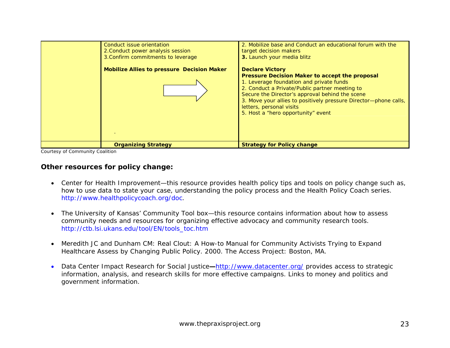

Courtesy of Community Coalition

## **Other resources for policy change:**

- Center for Health Improvement—this resource provides health policy tips and tools on policy change such as, how to use data to state your case, understanding the policy process and the Health Policy Coach series. http://www.healthpolicycoach.org/doc.
- • The University of Kansas' Community Tool box—this resource contains information about how to assess community needs and resources for organizing effective advocacy and community research tools. http://ctb.lsi.ukans.edu/tool/EN/tools\_toc.htm
- Meredith JC and Dunham CM: *Real Clout: A How-to Manual for Community Activists Trying to Expand Healthcare Assess by Changing Public Policy.* 2000. The Access Project: Boston, MA.
- $\bullet$  Data Center Impact Research for Social Justice**—**http://www.datacenter.org/ provides access to strategic information, analysis, and research skills for more effective campaigns. Links to money and politics and government information.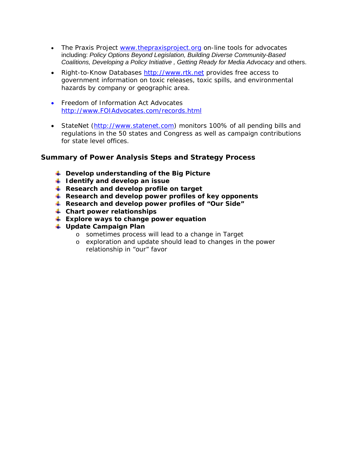- <span id="page-23-0"></span>• The Praxis Project [www.thepraxisproject.org](http://www.thepraxisproject.org/) on-line tools for advocates including: *[Policy Options Beyond Legislation,](http://www.thepraxisproject.org/tools/Policy_Options_Beyond_Legislation.doc) [Building Diverse Community-Based](http://www.thepraxisproject.org/tools/Coalition_Building_2pdf.pdf)  [Coalitions](http://www.thepraxisproject.org/tools/Coalition_Building_2pdf.pdf), [Developing a Policy Initiative](http://www.thepraxisproject.org/tools/developinitiative.pdf) , [Getting Ready for Media Advocacy](http://www.thepraxisproject.org/tools/MA-BRF1.pdf)* and others.
- Right-to-Know Databases [http://www.rtk.net](http://www.rtk.net/) provides free access to government information on toxic releases, toxic spills, and environmental hazards by company or geographic area.
- Freedom of Information Act Advocates http://www.FOIAdvocates.com/records.html
- StateNet [\(http://www.statenet.com](http://www.statenet.com/)) monitors 100% of all pending bills and regulations in the 50 states and Congress as well as campaign contributions for state level offices.

### **Summary of Power Analysis Steps and Strategy Process**

- **Develop understanding of the Big Picture**
- **I** Identify and develop an issue
- **Research and develop profile on target**
- **Research and develop power profiles of key opponents**
- **Research and develop power profiles of "Our Side"**
- **Chart power relationships**
- **Explore ways to change power equation**
- **Update Campaign Plan** 
	- o sometimes process will lead to a change in Target
	- o exploration and update should lead to changes in the power relationship in "our" favor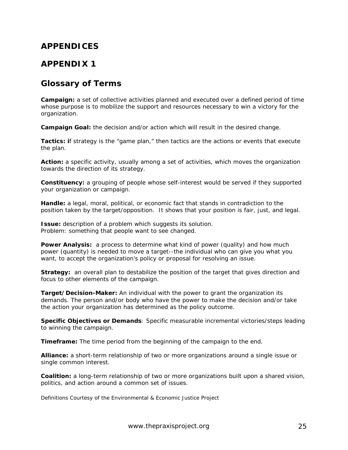# **APPENDICES**

# **APPENDIX 1**

# **Glossary of Terms**

**Campaign:** a set of collective activities planned and executed over a defined period of time whose purpose is to mobilize the support and resources necessary to win a victory for the organization.

**Campaign Goal:** the decision and/or action which will result in the desired change.

**Tactics: i**f strategy is the "game plan," then tactics are the actions or events that execute the plan.

**Action:** a specific activity, usually among a set of activities, which moves the organization towards the direction of its strategy.

**Constituency:** a grouping of people whose self-interest would be served if they supported your organization or campaign.

**Handle:** a legal, moral, political, or economic fact that stands in contradiction to the position taken by the target/opposition. It shows that your position is fair, just, and legal.

**Issue:** description of a problem which suggests its solution. Problem: something that people want to see changed.

**Power Analysis:** a process to determine what kind of power (quality) and how much power (quantity) is needed to move a target--the individual who can give you what you want, to accept the organization's policy or proposal for resolving an issue.

**Strategy:** an overall plan to destabilize the position of the target that gives direction and focus to other elements of the campaign.

**Target/Decision-Maker:** An individual with the power to grant the organization its demands. The person and/or body who have the power to make the decision and/or take the action your organization has determined as the policy outcome.

**Specific Objectives or Demands**: Specific measurable incremental victories/steps leading to winning the campaign.

**Timeframe:** The time period from the beginning of the campaign to the end.

**Alliance:** a short-term relationship of two or more organizations around a single issue or single common interest.

**Coalition:** a long-term relationship of two or more organizations built upon a shared vision, politics, and action around a common set of issues.

*Definitions Courtesy of the Environmental & Economic Justice Project*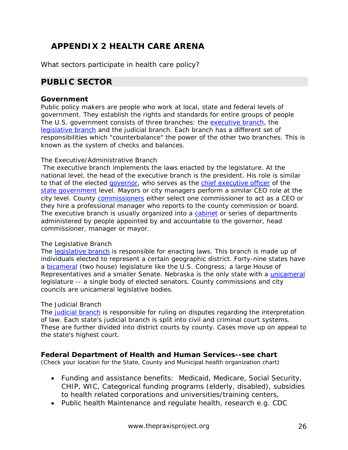# **APPENDIX 2 HEALTH CARE ARENA**

What sectors participate in health care policy?

# **PUBLIC SECTOR**

### **Government**

Public policy makers are people who work at local, state and federal levels of government. They establish the rights and standards for entire groups of people The U.S. government consists of three branches: the executive branch, the legislative branch and the judicial branch. Each branch has a different set of responsibilities which "counterbalance" the power of the other two branches. This is known as the system of checks and balances.

#### *The Executive/Administrative Branch*

The executive branch implements the laws enacted by the legislature. At the national level, the head of the executive branch is the president. His role is similar to that of the elected governor, who serves as the chief executive officer of the [state government](http://www.ca.gov/) level. Mayors or city managers perform a similar CEO role at the city level. County commissioners either select one commissioner to act as a CEO or they hire a professional manager who reports to the county commission or board. The executive branch is usually organized into a cabinet or series of departments administered by people appointed by and accountable to the governor, head commissioner, manager or mayor.

#### *The Legislative Branch*

The [legislative branch](http://www.whitehouse.gov/government/legi.html) is responsible for enacting laws. This branch is made up of individuals elected to represent a certain geographic district. Forty-nine states have a bicameral (two house) legislature like the U.S. Congress; a large House of Representatives and a smaller Senate. Nebraska is the only state with a unicameral legislature -- a single body of elected senators. County commissions and city councils are unicameral legislative bodies.

### *The Judicial Branch*

The [judicial branch](http://www.whitehouse.gov/government/judg.html) is responsible for ruling on disputes regarding the interpretation of law. Each state's judicial branch is split into civil and criminal court systems. These are further divided into district courts by county. Cases move up on appeal to the state's highest court.

### **Federal Department of Health and Human Services--see chart**

(Check your location for the State, County and Municipal health organization chart)

- Funding and assistance benefits: Medicaid, Medicare, Social Security, CHIP, WIC, Categorical funding programs (elderly, disabled), subsidies to health related corporations and universities/training centers,
- Public health Maintenance and regulate health, research e.g. CDC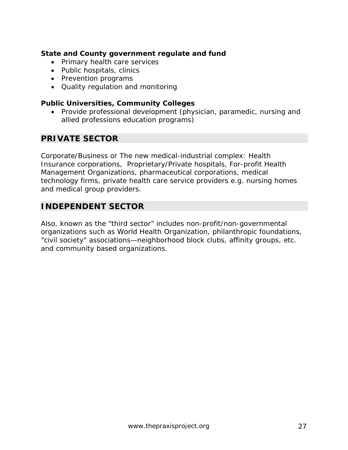# **State and County government regulate and fund**

- Primary health care services
- Public hospitals, clinics
- Prevention programs
- Quality regulation and monitoring

### **Public Universities, Community Colleges**

• Provide professional development (physician, paramedic, nursing and allied professions education programs)

# **PRIVATE SECTOR**

Corporate/Business or The new medical-industrial complex: Health Insurance corporations, Proprietary/Private hospitals, For-profit Health Management Organizations, pharmaceutical corporations, medical technology firms, private health care service providers e.g. nursing homes and medical group providers.

# **INDEPENDENT SECTOR**

Also, known as the "third sector" includes non-profit/non-governmental organizations such as World Health Organization, philanthropic foundations, "civil society" associations—neighborhood block clubs, affinity groups, etc. and community based organizations.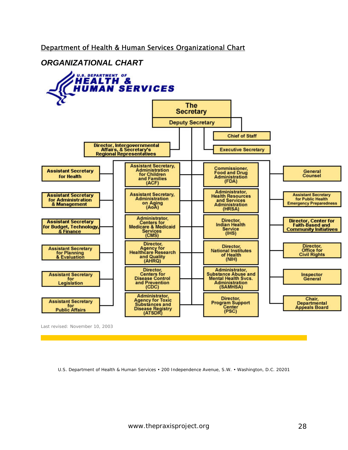# Department of Health & Human Services Organizational Chart

# *ORGANIZATIONAL CHART*



Last revised: November 10, 2003

U.S. Department of Health & Human Services • 200 Independence Avenue, S.W. • Washington, D.C. 20201